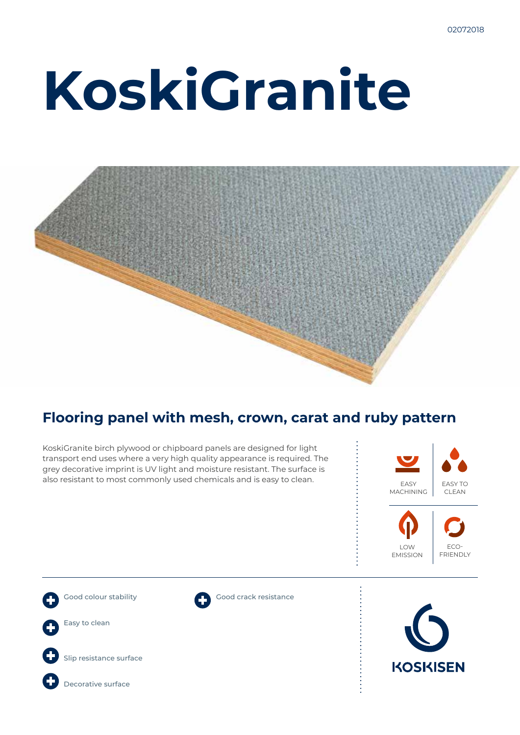# **KoskiGranite**



### **Flooring panel with mesh, crown, carat and ruby pattern**

KoskiGranite birch plywood or chipboard panels are designed for light transport end uses where a very high quality appearance is required. The grey decorative imprint is UV light and moisture resistant. The surface is also resistant to most commonly used chemicals and is easy to clean.









Slip resistance surface



Good crack resistance